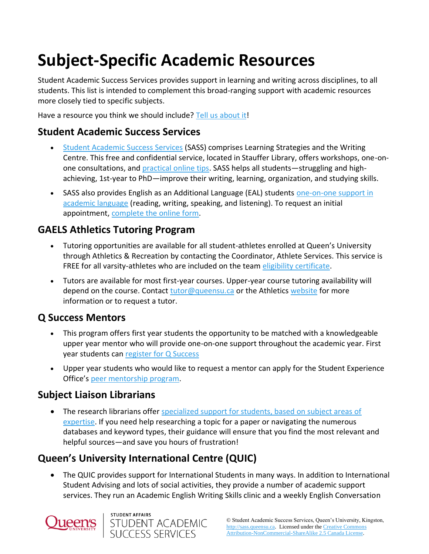# **Subject-Specific Academic Resources**

Student Academic Success Services provides support in learning and writing across disciplines, to all students. This list is intended to complement this broad-ranging support with academic resources more closely tied to specific subjects.

Have a resource you think we should include? [Tell us about it!](mailto:academic.success@queensu.ca)

## **Student Academic Success Services**

- [Student Academic Success Services](http://sass.queensu.ca/) (SASS) comprises Learning Strategies and the Writing Centre. This free and confidential service, located in Stauffer Library, offers workshops, one-onone consultations, and [practical online tips.](file://///ha/sasswww/node/12) SASS helps all students—struggling and highachieving, 1st-year to PhD—improve their writing, learning, organization, and studying skills.
- SASS also provides English as an Additional Language (EAL) students one-on-one support in [academic language](file://///ha/sasswww/node/29) (reading, writing, speaking, and listening). To request an initial appointment, [complete the online form.](file://///ha/sasswww/node/235)

## **GAELS Athletics Tutoring Program**

- Tutoring opportunities are available for all student-athletes enrolled at Queen's University through Athletics & Recreation by contacting the Coordinator, Athlete Services. This service is FREE for all varsity-athletes who are included on the team [eligibility certificate.](http://www.gogaelsgo.com/eligibility)
- Tutors are available for most first-year courses. Upper-year course tutoring availability will depend on the course. Contact [tutor@queensu.ca](mailto:tutor@queensu.ca) or the Athletic[s website](http://gogaelsgo.com/sports/2010/9/12/VAR-AthSer_0912102906.aspx?path=athlete-services) for more information or to request a tutor.

## **Q Success Mentors**

- This program offers first year students the opportunity to be matched with a knowledgeable upper year mentor who will provide one-on-one support throughout the academic year. First year students can [register for Q Success](https://www.queensu.ca/studentexperience/peer-programs/q-success)
- Upper year students who would like to request a mentor can apply for the Student Experience Office's [peer mentorship program.](https://www.queensu.ca/studentexperience/programs/upper-year-peer-mentor-program)

## **Subject Liaison Librarians**

• The research librarians offer specialized support for students, based on subject areas of [expertise.](https://library.queensu.ca/about-us/directory/subject-librarians) If you need help researching a topic for a paper or navigating the numerous databases and keyword types, their guidance will ensure that you find the most relevant and helpful sources—and save you hours of frustration!

## **Queen's University International Centre (QUIC)**

• The QUIC provides support for International Students in many ways. In addition to International Student Advising and lots of social activities, they provide a number of academic support services. They run an Academic English Writing Skills clinic and a weekly English Conversation



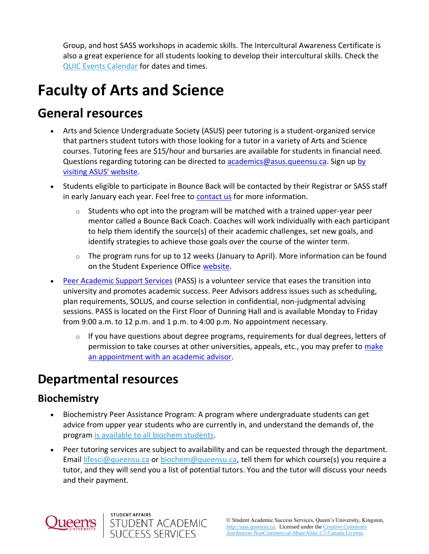Group, and host SASS workshops in academic skills. The Intercultural Awareness Certificate is also a great experience for all students looking to develop their intercultural skills. Check the [QUIC Events Calendar](https://quic.queensu.ca/events/) for dates and times.

# **Faculty of Arts and Science**

## **General resources**

- Arts and Science Undergraduate Society (ASUS) peer tutoring is a student-organized service that partners student tutors with those looking for a tutor in a variety of Arts and Science courses. Tutoring fees are \$15/hour and bursaries are available for students in financial need. Questions regarding tutoring can be directed to [academics@asus.queensu.ca.](mailto:academics@asus.queensu.ca) Sign up by [visiting ASUS' website.](https://www.queensasus.com/tutoring)
- Students eligible to participate in Bounce Back will be contacted by their Registrar or SASS staff in early January each year. Feel free to [contact us](mailto:academic.success@queensu.ca) for more information.
	- $\circ$  Students who opt into the program will be matched with a trained upper-year peer mentor called a Bounce Back Coach. Coaches will work individually with each participant to help them identify the source(s) of their academic challenges, set new goals, and identify strategies to achieve those goals over the course of the winter term.
	- $\circ$  The program runs for up to 12 weeks (January to April). More information can be found on the Student Experience Office [website.](https://www.queensu.ca/studentexperience/leadership-development/peer-programs)
- [Peer Academic Support Services](https://www.queensu.ca/artsci/undergrad-students/pass-academic-advising) (PASS) is a volunteer service that eases the transition into university and promotes academic success. Peer Advisors address issues such as scheduling, plan requirements, SOLUS, and course selection in confidential, non-judgmental advising sessions. PASS is located on the First Floor of Dunning Hall and is available Monday to Friday from 9:00 a.m. to 12 p.m. and 1 p.m. to 4:00 p.m. No appointment necessary.
	- $\circ$  If you have questions about degree programs, requirements for dual degrees, letters of permission to take courses at other universities, appeals, etc., you may prefer to [make](https://www.queensu.ca/artsci/about/contacts)  [an appointment with an academic advisor.](https://www.queensu.ca/artsci/about/contacts)

## **Departmental resources**

STUDENT AFFAIRS

STUDENT ACADEMIC<br>SUCCESS SERVICES

## **Biochemistry**

- Biochemistry Peer Assistance Program: A program where undergraduate students can get advice from upper year students who are currently in, and understand the demands of, the progra[m is available to all biochem students.](https://dbms.queensu.ca/undergraduate/biochemistry/undergraduate-advising)
- Peer tutoring services are subject to availability and can be requested through the department. Email [lifesci@queensu.ca](mailto:lifesci@queensu.ca) or [biochem@queensu.ca,](mailto:biochem@queensu.ca) tell them for which course(s) you require a tutor, and they will send you a list of potential tutors. You and the tutor will discuss your needs and their payment.

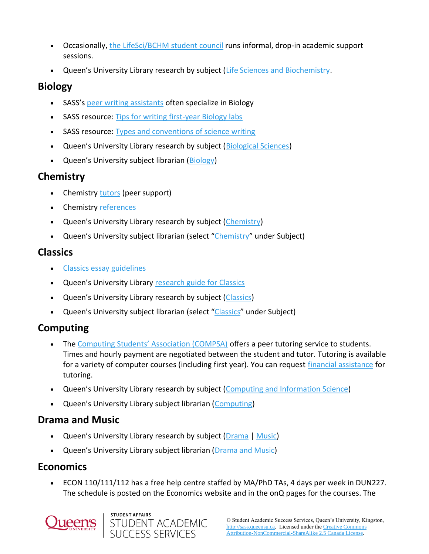- Occasionally, [the LifeSci/BCHM student council](https://healthsci.queensu.ca/liscbchm/life_sciences/student_council) runs informal, drop-in academic support sessions.
- Queen's University Library research by subject ([Life Sciences and Biochemistry.](https://library.queensu.ca/search/subject/life-sciences-and-biochemistry)

### **Biology**

- SASS's [peer writing assistants](https://sass.queensu.ca/about/peers/#PWA) often specialize in Biology
- SASS resource: [Tips for writing first-year Biology labs](https://sass.queensu.ca/onlineresource/topics/tips-for-writing-first-year-biology-labs/)
- SASS resource: [Types and conventions of science writing](https://sass.queensu.ca/onlineresource/topics/science-writing/)
- Queen's University Library research by subject ([Biological Sciences\)](http://library.queensu.ca/research/guide/biological-sciences)
- Queen's University subject librarian ([Biology\)](https://library.queensu.ca/about-us/staff/morag-coyne)

## **Chemistry**

- Chemistry [tutors](https://www.chem.queensu.ca/undergraduate/undergraduate-resources) (peer support)
- Chemistry [references](http://www.chem.queensu.ca/undergraduate/undergraduate-resources)
- Queen's University Library research by subject ([Chemistry\)](https://library.queensu.ca/search/subject/chemistry)
- Queen's University subject librarian (select "[Chemistry](https://library.queensu.ca/about-us/directory/subject-librarians)" under Subject)

## **Classics**

- [Classics essay guidelines](https://www.queensu.ca/classics/resources/essay-guidelines)
- Queen's University Library [research guide for Classics](http://guides.library.queensu.ca/classical-studies)
- Queen's University Library research by subject ([Classics\)](https://library.queensu.ca/search/subject/classics)
- Queen's University subject librarian (select "[Classics](https://library.queensu.ca/about-us/directory/subject-librarians)" under Subject)

## **Computing**

- The [Computing Students' Association \(COMPSA\)](https://www.compsa.queensu.ca/academics) offers a peer tutoring service to students. Times and hourly payment are negotiated between the student and tutor. Tutoring is available for a variety of computer courses (including first year). You can request [financial assistance](https://www.queensasus.com/tutoring) for tutoring.
- Queen's University Library research by subject ([Computing and Information Science\)](https://library.queensu.ca/search/subject/computing)
- Queen's University Library subject librarian ([Computing\)](https://library.queensu.ca/about-us/staff/wenyan-wu)

## **Drama and Music**

- Queen's University Library research by subject ([Drama](https://library.queensu.ca/search/subject/drama) | [Music\)](https://library.queensu.ca/search/subject/music)
- Queen's University Library subject librarian ([Drama and Music\)](https://library.queensu.ca/about-us/staff/cory-laverty)

## **Economics**

• ECON 110/111/112 has a free help centre staffed by MA/PhD TAs, 4 days per week in DUN227. The schedule is posted on the Economics website and in the onQ pages for the courses. The



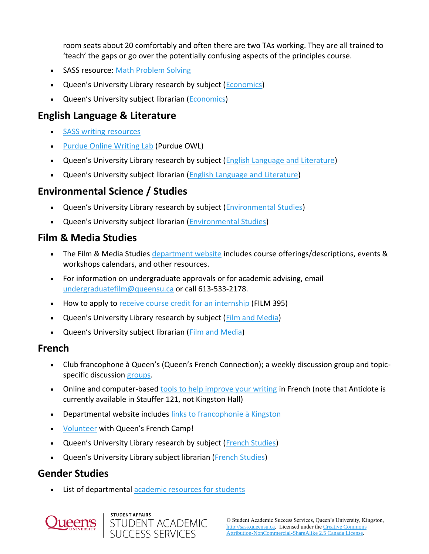room seats about 20 comfortably and often there are two TAs working. They are all trained to 'teach' the gaps or go over the potentially confusing aspects of the principles course.

- SASS resource: [Math Problem Solving](http://sass.queensu.ca/math/)
- Queen's University Library research by subject ([Economics\)](https://library.queensu.ca/search/subject/economics)
- Queen's University subject librarian ([Economics\)](https://library.queensu.ca/about-us/staff/constance-adamson)

## **English Language & Literature**

- [SASS writing resources](file://///ha/sasswww/node/12)
- [Purdue Online Writing Lab](https://owl.purdue.edu/owl/purdue_owl.html) (Purdue OWL)
- Queen's University Library research by subject ([English Language and Literature\)](https://library.queensu.ca/search/subject/english-language-and-literature)
- Queen's University subject librarian ([English Language and Literature\)](https://library.queensu.ca/about-us/staff/elizabeth-gibson)

## **Environmental Science / Studies**

- Queen's University Library research by subject [\(Environmental Studies\)](https://library.queensu.ca/search/subject/environmental-studies)
- Queen's University subject librarian ([Environmental Studies\)](https://library.queensu.ca/about-us/staff/morag-coyne)

## **Film & Media Studies**

- The Film & Media Studies [department website](https://www.queensu.ca/filmandmedia/home) includes course offerings/descriptions, events & workshops calendars, and other resources.
- For information on undergraduate approvals or for academic advising, email [undergraduatefilm@queensu.ca](mailto:undergraduatefilm@queensu.ca) or call 613-533-2178.
- How to apply to [receive course credit for an internship](https://www.queensu.ca/filmandmedia/undergraduate/internship-film-395) (FILM 395)
- Queen's University Library research by subject ([Film and Media\)](https://library.queensu.ca/search/subject/film-and-media)
- Queen's University subject librarian ([Film and Media\)](https://library.queensu.ca/about-us/staff/elizabeth-gibson)

### **French**

- Club francophone à Queen's (Queen's French Connection); a weekly discussion group and topicspecific discussion [groups.](http://www.queensu.ca/french/club-francophone)
- Online and computer-based [tools to help improve your writing](http://kwork3.cs.queensu.ca/474c/) in French (note that Antidote is currently available in Stauffer 121, not Kingston Hall)
- Departmental website includes [links to francophonie à Kingston](https://www.queensu.ca/french/)
- [Volunteer](https://sass.queensu.ca/ssarg/frenchcamp@queensu.ca) with Queen's French Camp!
- Queen's University Library research by subject ([French Studies\)](https://library.queensu.ca/search/subject/french-studies)
- Queen's University Library subject librarian [\(French Studies\)](https://library.queensu.ca/about-us/staff/nathalie-soini)

### **Gender Studies**

List of departmental [academic resources for students](https://www.queensu.ca/gnds/forms-and-resources)



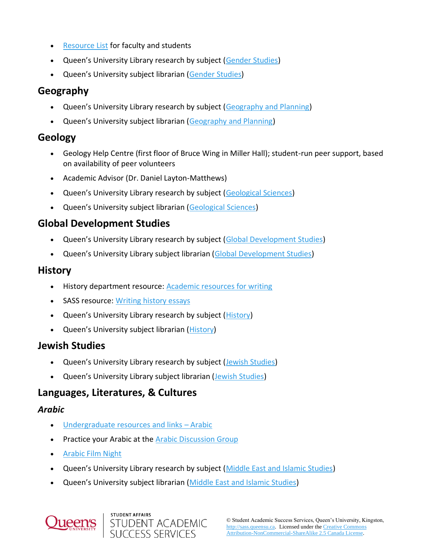- [Resource List](https://www.queensu.ca/gnds/forms-and-resources) for faculty and students
- Queen's University Library research by subject ([Gender Studies\)](http://library.queensu.ca/research/guide/gender-studies)
- Queen's University subject librarian ([Gender Studies\)](https://library.queensu.ca/search/subject/gender-studies)

## **Geography**

- Queen's University Library research by subject ([Geography and Planning\)](https://library.queensu.ca/search/subject/geography-and-planning)
- Queen's University subject librarian ([Geography and Planning\)](https://library.queensu.ca/about-us/staff/francine-berish)

### **Geology**

- Geology Help Centre (first floor of Bruce Wing in Miller Hall); student-run peer support, based on availability of peer volunteers
- Academic Advisor (Dr. Daniel Layton-Matthews)
- Queen's University Library research by subject ([Geological Sciences\)](https://library.queensu.ca/search/subject/geological-sciences)
- Queen's University subject librarian ([Geological Sciences\)](https://library.queensu.ca/about-us/staff/morag-coyne)

## **Global Development Studies**

- Queen's University Library research by subject ([Global Development Studies\)](https://library.queensu.ca/search/subject/global-development-studies)
- Queen's University Library subject librarian ([Global Development Studies\)](https://library.queensu.ca/about-us/staff/sylvia-andrychuk)

### **History**

- History department resource: [Academic resources for writing](https://www.queensu.ca/history/undergraduate/academic-resources)
- SASS resource: [Writing history essays](file://///ha/sasswww/node/223)
- Queen's University Library research by subject ([History\)](https://library.queensu.ca/search/subject/history)
- Queen's University subject librarian ([History\)](https://library.queensu.ca/about-us/staff/elizabeth-gibson)

### **Jewish Studies**

- Queen's University Library research by subject ([Jewish Studies\)](https://library.queensu.ca/search/subject/jewish-studies)
- Queen's University Library subject librarian ([Jewish Studies\)](https://library.queensu.ca/about-us/staff/gillian-akenson)

## **Languages, Literatures, & Cultures**

#### *Arabic*

- [Undergraduate resources and links](http://www.queensu.ca/llcu/arabic/related-links)  Arabic
- **Practice your Arabic at the [Arabic Discussion Group](https://www.queensu.ca/llcu/arab-related-information)**
- [Arabic Film Night](https://www.queensu.ca/llcu/arab-related-information)
- Queen's University Library research by subject ([Middle East and Islamic Studies\)](https://library.queensu.ca/search/subject/middle-east-and-islamic-studies)
- Queen's University subject librarian [\(Middle East and Islamic Studies\)](https://library.queensu.ca/about-us/staff/elizabeth-gibson)



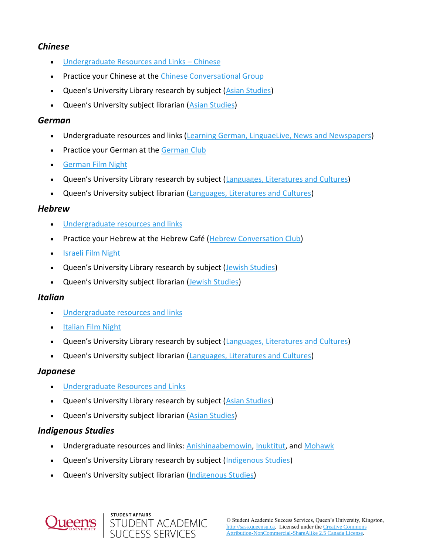#### *Chinese*

- [Undergraduate Resources and Links](http://www.queensu.ca/llcu/chinese/related-links)  Chinese
- Practice your Chinese at the [Chinese Conversational Group](https://www.queensu.ca/llcu/our-courses/chinese/chin-related-information)
- Queen's University Library research by subject ([Asian Studies\)](https://library.queensu.ca/search/subject/asian-studies)
- Queen's University subject librarian ([Asian Studies\)](https://library.queensu.ca/about-us/staff/elizabeth-gibson)

#### *German*

- Undergraduate resources and links [\(Learning German, LinguaeLive, News and Newspapers\)](https://www.queensu.ca/llcu/our-courses/german/grmn-related-info)
- Practice your German at the [German Club](https://www.queensu.ca/llcu/our-courses/german/grmn-related-info)
- [German Film Night](https://www.queensu.ca/llcu/our-courses/german/grmn-related-info)
- Queen's University Library research by subject ([Languages, Literatures and Cultures\)](https://library.queensu.ca/search/subject/languages-literatures-and-cultures)
- Queen's University subject librarian ([Languages, Literatures and Cultures\)](https://library.queensu.ca/about-us/staff/nathalie-soini)

#### *Hebrew*

- [Undergraduate resources and links](http://www.queensu.ca/llcu/hebrew/related-links)
- Practice your Hebrew at the Hebrew Café [\(Hebrew Conversation Club\)](https://www.queensu.ca/llcu/our-courses/hebrew/hebr-related-information)
- [Israeli Film Night](https://www.queensu.ca/llcu/our-courses/hebrew/hebr-related-information)
- Queen's University Library research by subject ([Jewish Studies\)](https://library.queensu.ca/search/subject/jewish-studies)
- Queen's University subject librarian ([Jewish Studies\)](https://library.queensu.ca/about-us/staff/gillian-akenson)

#### *Italian*

- [Undergraduate resources and links](http://www.queensu.ca/llcu/italian/related-links)
- [Italian Film Night](https://www.queensu.ca/llcu/our-courses/italian/itln-related-information)
- Queen's University Library research by subject ([Languages, Literatures and Cultures\)](https://library.queensu.ca/search/subject/languages-literatures-and-cultures)
- Queen's University subject librarian ([Languages, Literatures and Cultures\)](https://library.queensu.ca/about-us/staff/nathalie-soini)

#### *Japanese*

- [Undergraduate Resources and Links](http://www.queensu.ca/llcu/japanese/related-links)
- Queen's University Library research by subject ([Asian Studies\)](https://library.queensu.ca/search/subject/asian-studies)
- Queen's University subject librarian ([Asian Studies\)](https://library.queensu.ca/about-us/staff/elizabeth-gibson)

#### *Indigenous Studies*

- Undergraduate resources and links: [Anishinaabemowin,](https://guides.library.queensu.ca/indigenous-language/anishinaabe) [Inuktitut,](https://www.queensu.ca/llcu/our-courses/indg-courses/indg-related-information) and [Mohawk](https://www.queensu.ca/llcu/our-courses/mohawk/mohk-related-information)
- Queen's University Library research by subject ([Indigenous Studies\)](https://library.queensu.ca/search/subject/indigenous-studies)
- Queen's University subject librarian ([Indigenous Studies\)](https://library.queensu.ca/about-us/staff/sylvia-andrychuk)

**SUCCESS SERVICES** 

STUDENT AFFAIRS

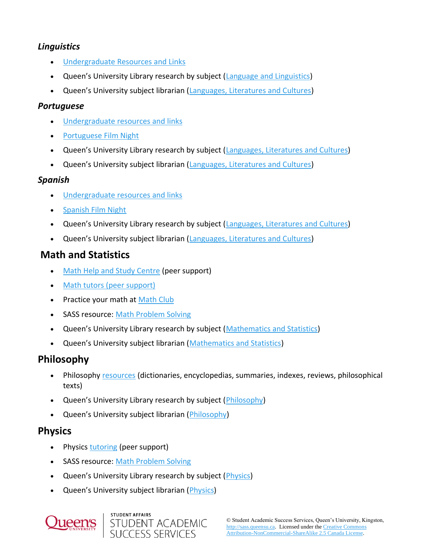#### *Linguistics*

- [Undergraduate Resources and Links](http://www.queensu.ca/llcu/linguistics/related-links)
- Queen's University Library research by subject ([Language and Linguistics\)](http://library.queensu.ca/research/guide/language-and-linguistics)
- Queen's University subject librarian ([Languages, Literatures and Cultures\)](https://library.queensu.ca/about-us/staff/nathalie-soini)

#### *Portuguese*

- [Undergraduate resources and](https://www.queensu.ca/llcu/portuguese/related-links) links
- [Portuguese Film Night](https://www.queensu.ca/llcu/our-courses/portuguese/port-related-information)
- Queen's University Library research by subject ([Languages, Literatures and Cultures\)](https://library.queensu.ca/search/subject/languages-literatures-and-cultures)
- Queen's University subject librarian ([Languages, Literatures and Cultures\)](https://library.queensu.ca/about-us/staff/nathalie-soini)

#### *Spanish*

- [Undergraduate resources and links](http://www.queensu.ca/llcu/spanish/related-links)
- [Spanish Film Night](https://www.queensu.ca/llcu/our-courses/spanish/span-related-information)
- Queen's University Library research by subject ([Languages, Literatures and Cultures\)](https://library.queensu.ca/search/subject/languages-literatures-and-cultures)
- Queen's University subject librarian ([Languages, Literatures and Cultures\)](https://library.queensu.ca/about-us/staff/nathalie-soini)

## **Math and Statistics**

- [Math Help and Study Centre](https://www.queensu.ca/mathstat/undergraduate/current-undergraduate/help) (peer support)
- [Math tutors \(peer support\)](https://www.queensu.ca/physics/undergrad-studies/tutor-list)
- Practice your math at [Math Club](http://www.mast.queensu.ca/~mikeroth/mathclub/mathclub.html)
- SASS resource: [Math Problem Solving](file://///ha/sasswww/node/141)
- Queen's University Library research by subject ([Mathematics and Statistics\)](https://library.queensu.ca/search/subject/mathematics-and-statistics)
- Queen's University subject librarian ([Mathematics and Statistics\)](https://library.queensu.ca/about-us/staff/wenyan-wu)

## **Philosophy**

- Philosophy [resources](https://www.queensu.ca/philosophy/undergraduate/research-resources) (dictionaries, encyclopedias, summaries, indexes, reviews, philosophical texts)
- Queen's University Library research by subject ([Philosophy\)](https://library.queensu.ca/search/subject/philosophy)
- Queen's University subject librarian ([Philosophy\)](https://library.queensu.ca/about-us/staff/sylvia-andrychuk)

## **Physics**

- Physics [tutoring](http://www.queensu.ca/physics/undergrad-studies/tutor-list) (peer support)
- SASS resource: [Math Problem Solving](file://///ha/sasswww/node/141)
- Queen's University Library research by subject (*Physics*)
- Queen's University subject librarian ([Physics\)](https://library.queensu.ca/about-us/staff/michael-white)



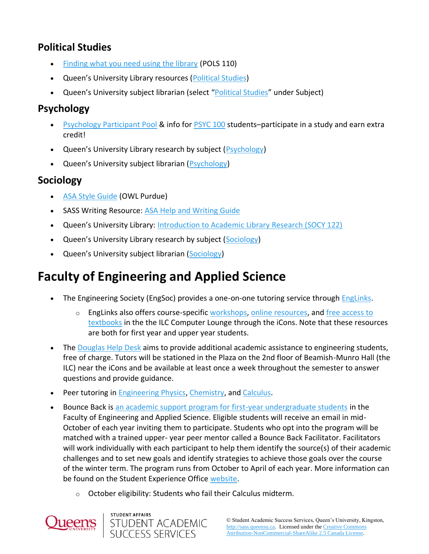## **Political Studies**

- [Finding what you need using the library](http://library.queensu.ca/files/pols110usingthelibrary.pdf) (POLS 110)
- Queen's University Library resources ([Political Studies\)](http://library.queensu.ca/research/guide/political-studies)
- Queen's University subject librarian (select "[Political Studies](https://library.queensu.ca/about-us/directory/subject-librarians)" under Subject)

## **Psychology**

- [Psychology Participant Pool](http://www.queensu.ca/psychology/undergraduate/participant-pool-information) & info fo[r PSYC 100](https://bhsc.queensu.ca/courses/psyc-100-psychology) students–participate in a study and earn extra credit!
- Queen's University Library research by subject ([Psychology\)](https://library.queensu.ca/search/subject/psychology)
- Queen's University subject librarian ([Psychology\)](https://library.queensu.ca/about-us/staff/gillian-akenson)

## **Sociology**

- [ASA Style Guide](https://owl.purdue.edu/owl/research_and_citation/asa_style/index.html) (OWL Purdue)
- SASS Writing Resource: [ASA Help and Writing Guide](https://wp3-dev.its.queensu.ca/ha/sasswww/sites/sasswww/files/uploaded_files/ASA-Style-Guide.pdf)
- Queen's University Library: [Introduction to Academic Library Research \(SOCY 122\)](https://guides.library.queensu.ca/socy122ASO-tutorial/introduction)
- Queen's University Library research by subject ([Sociology\)](https://library.queensu.ca/search/subject/sociology)
- Queen's University subject librarian ([Sociology\)](https://library.queensu.ca/about-us/staff/sylvia-andrychuk)

## **Faculty of Engineering and Applied Science**

- The Engineering Society (EngSoc) provides a one-on-one tutoring service throug[h EngLinks.](https://englinks.ca/)
	- $\circ$  Englinks also offers course-specifi[c workshops,](https://englinks.ca/events/event-calendars/) [online resources,](https://englinks.ca/resources/online-resources/) and free access to [textbooks](https://englinks.ca/resources/library/) in the the ILC Computer Lounge through the iCons. Note that these resources are both for first year and upper year students.
- The [Douglas Help Desk](http://my.engineering.queensu.ca/Current-Students/First-Year-Studies/DouglasTutorials.html) aims to provide additional academic assistance to engineering students, free of charge. Tutors will be stationed in the Plaza on the 2nd floor of Beamish-Munro Hall (the ILC) near the iCons and be available at least once a week throughout the semester to answer questions and provide guidance.
- Peer tutoring in **Engineering Physics, Chemistry**, an[d Calculus.](https://engineering.queensu.ca/Current-Students/First-Year-Studies/PrivateTutors.html)

STUDENT ACADEMIC **SUCCESS SERVICES** 

STUDENT AFFAIRS

- Bounce Back is [an academic support program for first-year undergraduate students](https://www.queensu.ca/studentexperience/leadership-development/peer-programs) in the Faculty of Engineering and Applied Science. Eligible students will receive an email in mid-October of each year inviting them to participate. Students who opt into the program will be matched with a trained upper- year peer mentor called a Bounce Back Facilitator. Facilitators will work individually with each participant to help them identify the source(s) of their academic challenges and to set new goals and identify strategies to achieve those goals over the course of the winter term. The program runs from October to April of each year. More information can be found on the Student Experience Office [website.](https://www.queensu.ca/studentexperience/leadership-development/peer-programs)
	- o October eligibility: Students who fail their Calculus midterm.

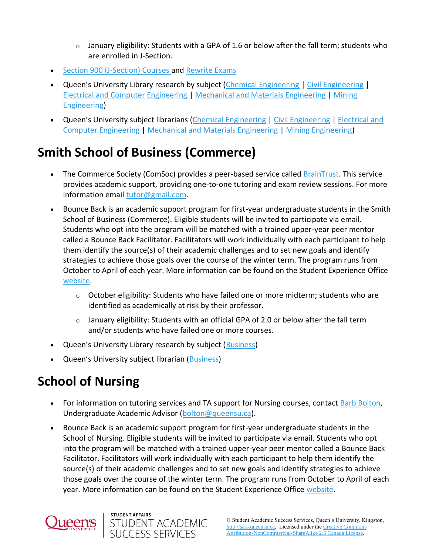- $\circ$  January eligibility: Students with a GPA of 1.6 or below after the fall term; students who are enrolled in J-Section.
- [Section 900 \(J-Section\) Courses a](https://engineering.queensu.ca/Current-Students/First-Year-Studies/Section900/DetailedInformation.html#Extended)nd [Rewrite Exams](http://my.engineering.queensu.ca/Current-Students/First-Year-Studies/rewrite-exams.html)
- Queen's University Library research by subject ([Chemical Engineering](https://library.queensu.ca/search/subject/chemical-engineering) | [Civil Engineering](https://library.queensu.ca/search/subject/civil-engineering) | [Electrical and Computer Engineering](https://library.queensu.ca/search/subject/electrical-and-computer-engineering) | [Mechanical and Materials Engineering](https://library.queensu.ca/search/subject/mechanical-and-materials-engineering) [| Mining](https://library.queensu.ca/search/subject/mining-engineering)  [Engineering\)](https://library.queensu.ca/search/subject/mining-engineering)
- Queen's University subject librarians ([Chemical Engineering](https://library.queensu.ca/about-us/staff/michael-white) [| Civil Engineering](https://library.queensu.ca/about-us/staff/nasser-saleh) | Electrical and [Computer Engineering](https://library.queensu.ca/about-us/staff/nasser-saleh) | [Mechanical and Materials Engineering](https://library.queensu.ca/about-us/directory/subject-librarians?subject=65&specialization=All) [| Mining Engineering\)](https://library.queensu.ca/about-us/staff/wenyan-wu)

## **Smith School of Business (Commerce)**

- The Commerce Society (ComSoc) provides a peer-based service calle[d BrainTrust.](https://www.facebook.com/braintrusttutoring/) This service provides academic support, providing one-to-one tutoring and exam review sessions. For more information email [tutor@gmail.com.](mailto:braintrust.tutor@gmail.com)
- Bounce Back is an academic support program for first-year undergraduate students in the Smith School of Business (Commerce). Eligible students will be invited to participate via email. Students who opt into the program will be matched with a trained upper-year peer mentor called a Bounce Back Facilitator. Facilitators will work individually with each participant to help them identify the source(s) of their academic challenges and to set new goals and identify strategies to achieve those goals over the course of the winter term. The program runs from October to April of each year. More information can be found on the Student Experience Office [website.](https://www.queensu.ca/studentexperience/leadership-development/peer-programs)
	- $\circ$  October eligibility: Students who have failed one or more midterm; students who are identified as academically at risk by their professor.
	- $\circ$  January eligibility: Students with an official GPA of 2.0 or below after the fall term and/or students who have failed one or more courses.
- Queen's University Library research by subject ([Business\)](https://library.queensu.ca/search/subject/business)
- Queen's University subject librarian ([Business\)](https://library.queensu.ca/about-us/staff/constance-adamson)

## **School of Nursing**

- For information on tutoring services and TA support for Nursing courses, contact [Barb Bolton,](mailto:barbara.bolton@queensu.ca) Undergraduate Academic Advisor [\(bolton@queensu.ca\)](mailto:barbara.bolton@queensu.ca).
- Bounce Back is an academic support program for first-year undergraduate students in the School of Nursing. Eligible students will be invited to participate via email. Students who opt into the program will be matched with a trained upper-year peer mentor called a Bounce Back Facilitator. Facilitators will work individually with each participant to help them identify the source(s) of their academic challenges and to set new goals and identify strategies to achieve those goals over the course of the winter term. The program runs from October to April of each year. More information can be found on the Student Experience Office [website.](https://www.queensu.ca/studentexperience/leadership-development/peer-programs)